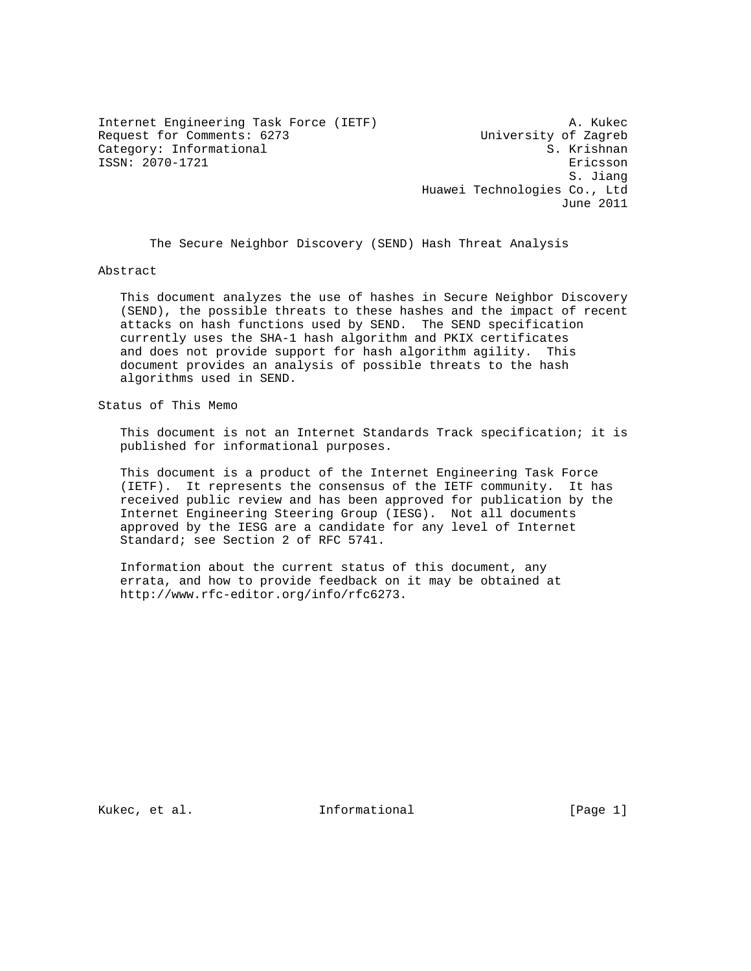Internet Engineering Task Force (IETF) A. Kukec Request for Comments: 6273 University of Zagreb Category: Informational  $\overline{S}$ . Krishnan ISSN: 2070-1721 Ericsson

 S. Jiang Huawei Technologies Co., Ltd June 2011

The Secure Neighbor Discovery (SEND) Hash Threat Analysis

Abstract

 This document analyzes the use of hashes in Secure Neighbor Discovery (SEND), the possible threats to these hashes and the impact of recent attacks on hash functions used by SEND. The SEND specification currently uses the SHA-1 hash algorithm and PKIX certificates and does not provide support for hash algorithm agility. This document provides an analysis of possible threats to the hash algorithms used in SEND.

Status of This Memo

 This document is not an Internet Standards Track specification; it is published for informational purposes.

 This document is a product of the Internet Engineering Task Force (IETF). It represents the consensus of the IETF community. It has received public review and has been approved for publication by the Internet Engineering Steering Group (IESG). Not all documents approved by the IESG are a candidate for any level of Internet Standard; see Section 2 of RFC 5741.

 Information about the current status of this document, any errata, and how to provide feedback on it may be obtained at http://www.rfc-editor.org/info/rfc6273.

Kukec, et al. Informational [Page 1]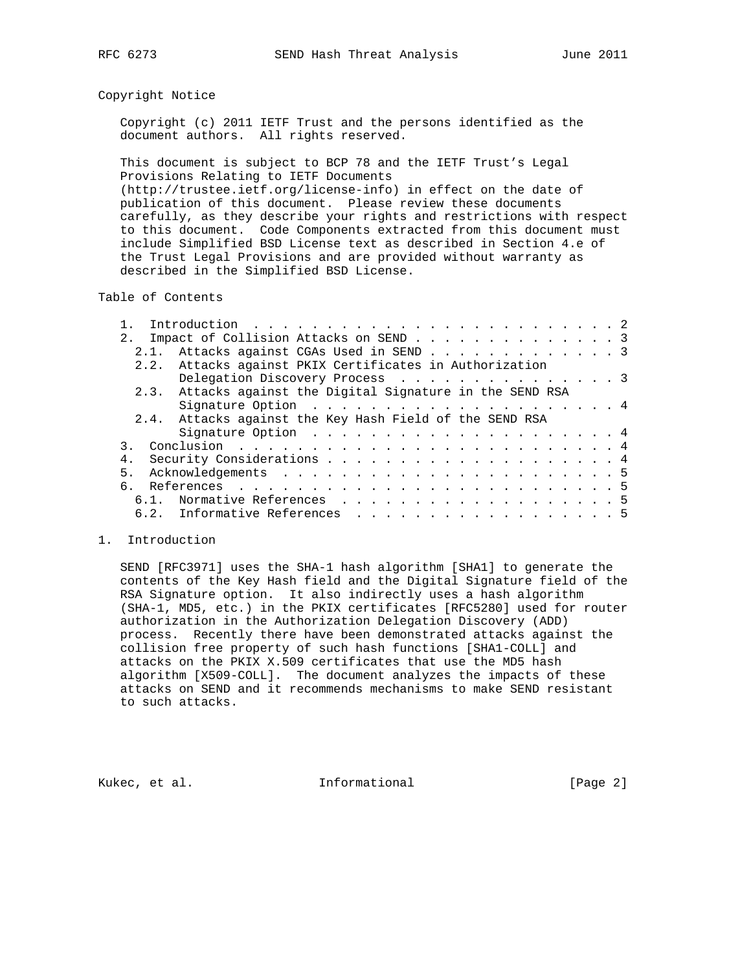## Copyright Notice

 Copyright (c) 2011 IETF Trust and the persons identified as the document authors. All rights reserved.

 This document is subject to BCP 78 and the IETF Trust's Legal Provisions Relating to IETF Documents (http://trustee.ietf.org/license-info) in effect on the date of publication of this document. Please review these documents carefully, as they describe your rights and restrictions with respect to this document. Code Components extracted from this document must include Simplified BSD License text as described in Section 4.e of the Trust Legal Provisions and are provided without warranty as described in the Simplified BSD License.

Table of Contents

|     | Introduction $\ldots \ldots \ldots \ldots \ldots \ldots \ldots \ldots \ldots$ |  |
|-----|-------------------------------------------------------------------------------|--|
|     | 2. Impact of Collision Attacks on SEND 3                                      |  |
|     | 2.1. Attacks against CGAs Used in SEND 3                                      |  |
|     | 2.2. Attacks against PKIX Certificates in Authorization                       |  |
|     | Delegation Discovery Process 3                                                |  |
|     | 2.3. Attacks against the Digital Signature in the SEND RSA                    |  |
|     | Signature Option $\ldots$ 4                                                   |  |
|     | 2.4. Attacks against the Key Hash Field of the SEND RSA                       |  |
|     |                                                                               |  |
|     |                                                                               |  |
| 4.  |                                                                               |  |
| 5.  |                                                                               |  |
| რ — |                                                                               |  |
|     | 6.1. Normative References 5                                                   |  |
|     | 6.2. Informative References 5                                                 |  |

## 1. Introduction

 SEND [RFC3971] uses the SHA-1 hash algorithm [SHA1] to generate the contents of the Key Hash field and the Digital Signature field of the RSA Signature option. It also indirectly uses a hash algorithm (SHA-1, MD5, etc.) in the PKIX certificates [RFC5280] used for router authorization in the Authorization Delegation Discovery (ADD) process. Recently there have been demonstrated attacks against the collision free property of such hash functions [SHA1-COLL] and attacks on the PKIX X.509 certificates that use the MD5 hash algorithm [X509-COLL]. The document analyzes the impacts of these attacks on SEND and it recommends mechanisms to make SEND resistant to such attacks.

Kukec, et al. 1nformational 1999 [Page 2]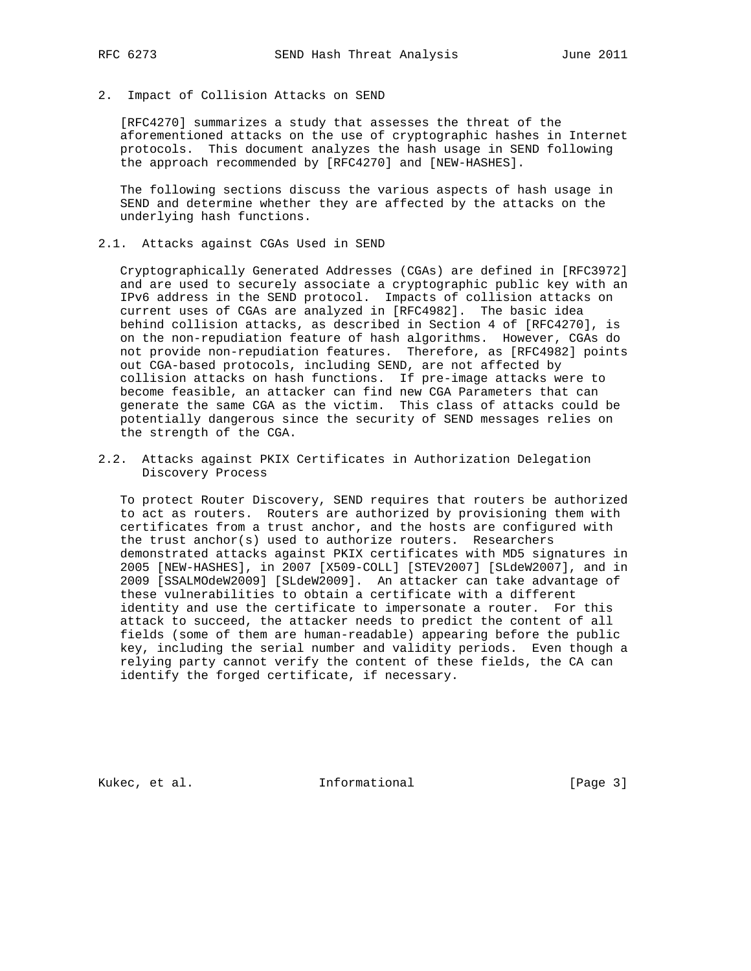2. Impact of Collision Attacks on SEND

 [RFC4270] summarizes a study that assesses the threat of the aforementioned attacks on the use of cryptographic hashes in Internet protocols. This document analyzes the hash usage in SEND following the approach recommended by [RFC4270] and [NEW-HASHES].

 The following sections discuss the various aspects of hash usage in SEND and determine whether they are affected by the attacks on the underlying hash functions.

2.1. Attacks against CGAs Used in SEND

 Cryptographically Generated Addresses (CGAs) are defined in [RFC3972] and are used to securely associate a cryptographic public key with an IPv6 address in the SEND protocol. Impacts of collision attacks on current uses of CGAs are analyzed in [RFC4982]. The basic idea behind collision attacks, as described in Section 4 of [RFC4270], is on the non-repudiation feature of hash algorithms. However, CGAs do not provide non-repudiation features. Therefore, as [RFC4982] points out CGA-based protocols, including SEND, are not affected by collision attacks on hash functions. If pre-image attacks were to become feasible, an attacker can find new CGA Parameters that can generate the same CGA as the victim. This class of attacks could be potentially dangerous since the security of SEND messages relies on the strength of the CGA.

2.2. Attacks against PKIX Certificates in Authorization Delegation Discovery Process

 To protect Router Discovery, SEND requires that routers be authorized to act as routers. Routers are authorized by provisioning them with certificates from a trust anchor, and the hosts are configured with the trust anchor(s) used to authorize routers. Researchers demonstrated attacks against PKIX certificates with MD5 signatures in 2005 [NEW-HASHES], in 2007 [X509-COLL] [STEV2007] [SLdeW2007], and in 2009 [SSALMOdeW2009] [SLdeW2009]. An attacker can take advantage of these vulnerabilities to obtain a certificate with a different identity and use the certificate to impersonate a router. For this attack to succeed, the attacker needs to predict the content of all fields (some of them are human-readable) appearing before the public key, including the serial number and validity periods. Even though a relying party cannot verify the content of these fields, the CA can identify the forged certificate, if necessary.

Kukec, et al. 1nformational [Page 3]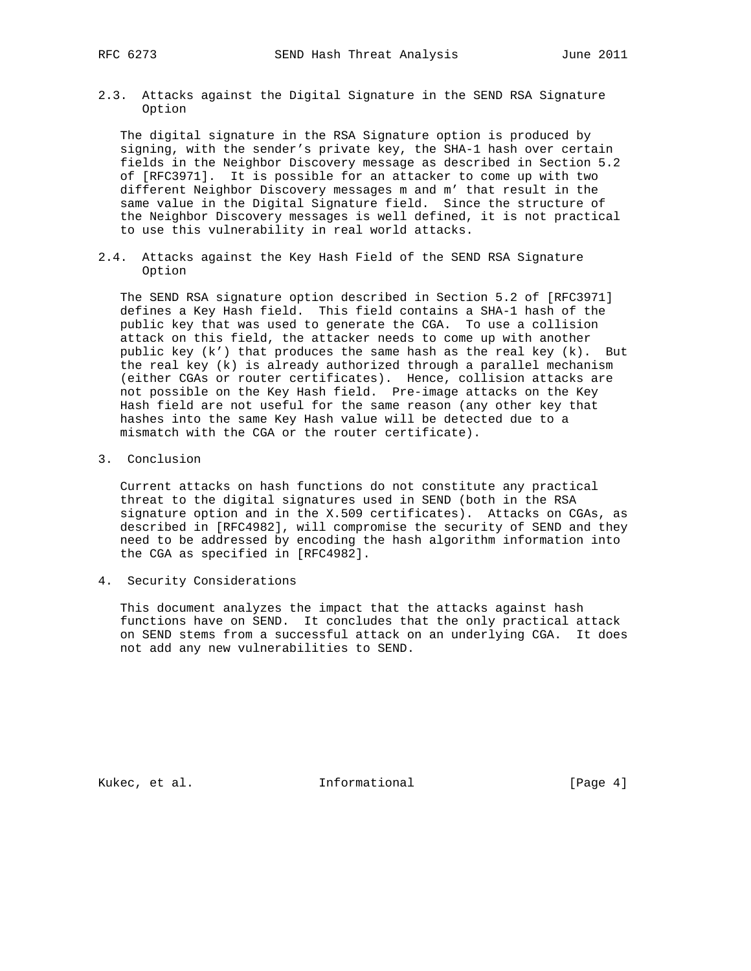2.3. Attacks against the Digital Signature in the SEND RSA Signature Option

 The digital signature in the RSA Signature option is produced by signing, with the sender's private key, the SHA-1 hash over certain fields in the Neighbor Discovery message as described in Section 5.2 of [RFC3971]. It is possible for an attacker to come up with two different Neighbor Discovery messages m and m' that result in the same value in the Digital Signature field. Since the structure of the Neighbor Discovery messages is well defined, it is not practical to use this vulnerability in real world attacks.

2.4. Attacks against the Key Hash Field of the SEND RSA Signature Option

 The SEND RSA signature option described in Section 5.2 of [RFC3971] defines a Key Hash field. This field contains a SHA-1 hash of the public key that was used to generate the CGA. To use a collision attack on this field, the attacker needs to come up with another public key (k') that produces the same hash as the real key (k). But the real key (k) is already authorized through a parallel mechanism (either CGAs or router certificates). Hence, collision attacks are not possible on the Key Hash field. Pre-image attacks on the Key Hash field are not useful for the same reason (any other key that hashes into the same Key Hash value will be detected due to a mismatch with the CGA or the router certificate).

3. Conclusion

 Current attacks on hash functions do not constitute any practical threat to the digital signatures used in SEND (both in the RSA signature option and in the X.509 certificates). Attacks on CGAs, as described in [RFC4982], will compromise the security of SEND and they need to be addressed by encoding the hash algorithm information into the CGA as specified in [RFC4982].

4. Security Considerations

 This document analyzes the impact that the attacks against hash functions have on SEND. It concludes that the only practical attack on SEND stems from a successful attack on an underlying CGA. It does not add any new vulnerabilities to SEND.

Kukec, et al. 1nformational [Page 4]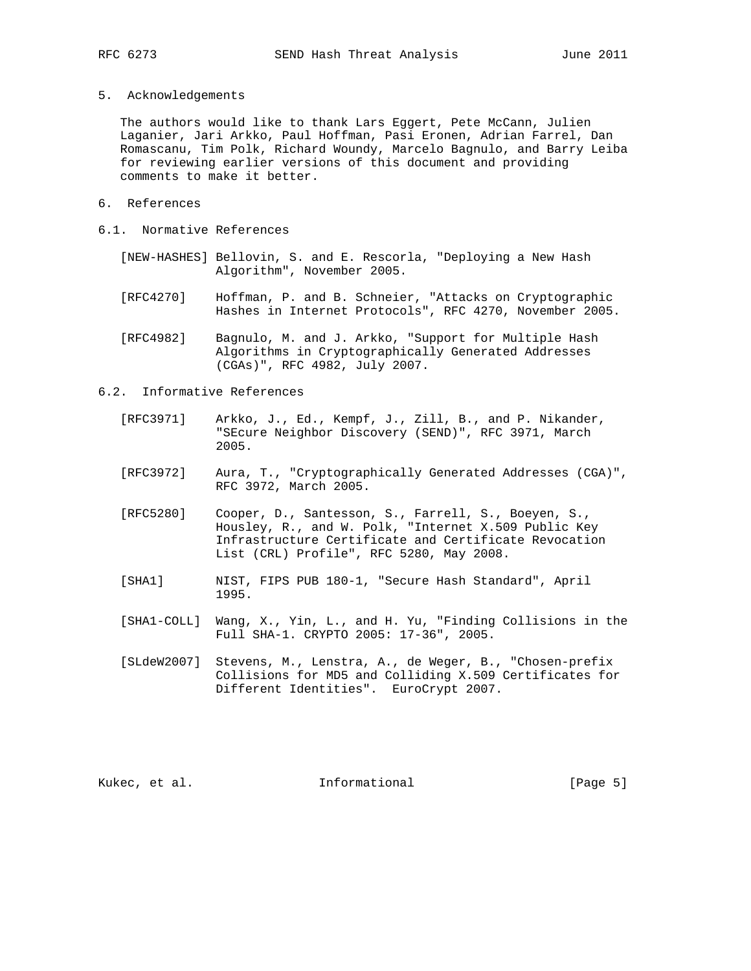5. Acknowledgements

 The authors would like to thank Lars Eggert, Pete McCann, Julien Laganier, Jari Arkko, Paul Hoffman, Pasi Eronen, Adrian Farrel, Dan Romascanu, Tim Polk, Richard Woundy, Marcelo Bagnulo, and Barry Leiba for reviewing earlier versions of this document and providing comments to make it better.

- 6. References
- 6.1. Normative References
	- [NEW-HASHES] Bellovin, S. and E. Rescorla, "Deploying a New Hash Algorithm", November 2005.
	- [RFC4270] Hoffman, P. and B. Schneier, "Attacks on Cryptographic Hashes in Internet Protocols", RFC 4270, November 2005.
	- [RFC4982] Bagnulo, M. and J. Arkko, "Support for Multiple Hash Algorithms in Cryptographically Generated Addresses (CGAs)", RFC 4982, July 2007.
- 6.2. Informative References
	- [RFC3971] Arkko, J., Ed., Kempf, J., Zill, B., and P. Nikander, "SEcure Neighbor Discovery (SEND)", RFC 3971, March 2005.
	- [RFC3972] Aura, T., "Cryptographically Generated Addresses (CGA)", RFC 3972, March 2005.
	- [RFC5280] Cooper, D., Santesson, S., Farrell, S., Boeyen, S., Housley, R., and W. Polk, "Internet X.509 Public Key Infrastructure Certificate and Certificate Revocation List (CRL) Profile", RFC 5280, May 2008.
	- [SHA1] NIST, FIPS PUB 180-1, "Secure Hash Standard", April 1995.
	- [SHA1-COLL] Wang, X., Yin, L., and H. Yu, "Finding Collisions in the Full SHA-1. CRYPTO 2005: 17-36", 2005.
	- [SLdeW2007] Stevens, M., Lenstra, A., de Weger, B., "Chosen-prefix Collisions for MD5 and Colliding X.509 Certificates for Different Identities". EuroCrypt 2007.

Kukec, et al. 1nformational 1999 [Page 5]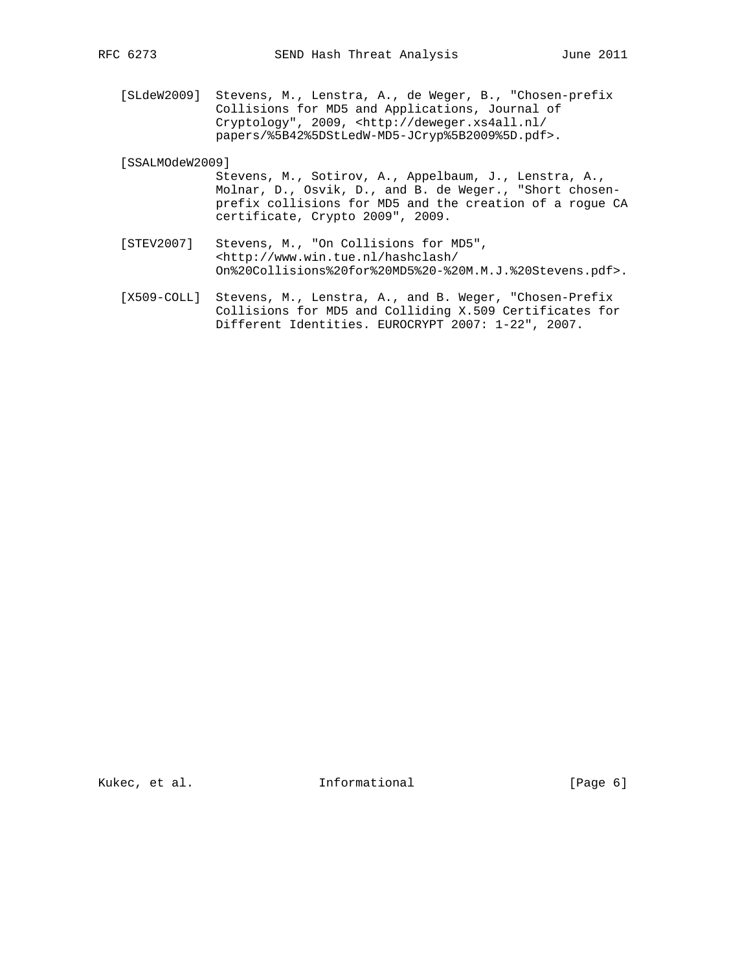[SLdeW2009] Stevens, M., Lenstra, A., de Weger, B., "Chosen-prefix Collisions for MD5 and Applications, Journal of Cryptology", 2009, <http://deweger.xs4all.nl/ papers/%5B42%5DStLedW-MD5-JCryp%5B2009%5D.pdf>.

[SSALMOdeW2009]

- Stevens, M., Sotirov, A., Appelbaum, J., Lenstra, A., Molnar, D., Osvik, D., and B. de Weger., "Short chosen prefix collisions for MD5 and the creation of a rogue CA certificate, Crypto 2009", 2009.
- [STEV2007] Stevens, M., "On Collisions for MD5", <http://www.win.tue.nl/hashclash/ On%20Collisions%20for%20MD5%20-%20M.M.J.%20Stevens.pdf>.
- [X509-COLL] Stevens, M., Lenstra, A., and B. Weger, "Chosen-Prefix Collisions for MD5 and Colliding X.509 Certificates for Different Identities. EUROCRYPT 2007: 1-22", 2007.

Kukec, et al. 1nformational [Page 6]